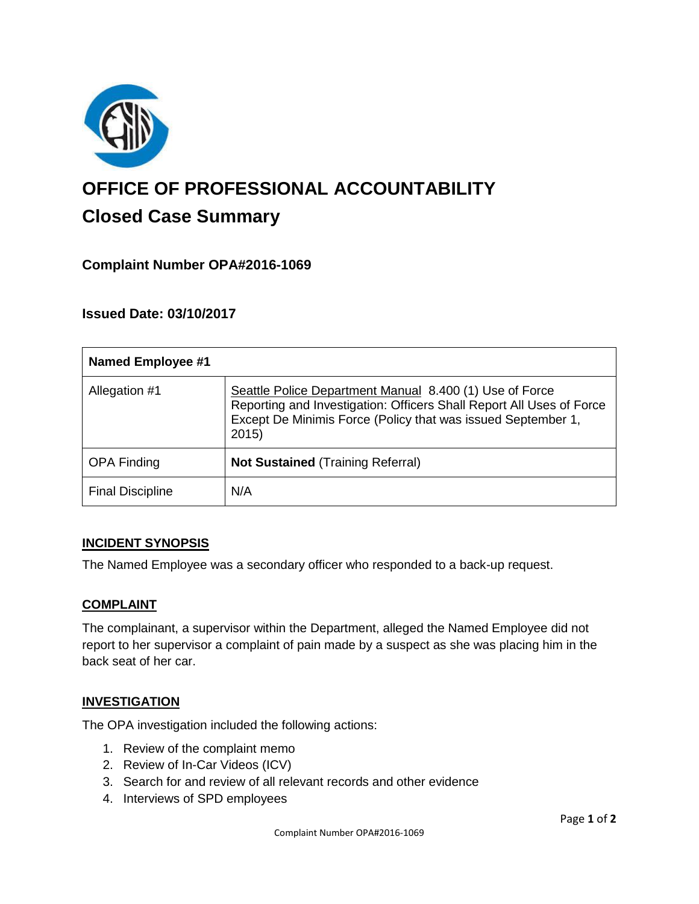

# **OFFICE OF PROFESSIONAL ACCOUNTABILITY Closed Case Summary**

## **Complaint Number OPA#2016-1069**

## **Issued Date: 03/10/2017**

| <b>Named Employee #1</b> |                                                                                                                                                                                                         |
|--------------------------|---------------------------------------------------------------------------------------------------------------------------------------------------------------------------------------------------------|
| Allegation #1            | Seattle Police Department Manual 8.400 (1) Use of Force<br>Reporting and Investigation: Officers Shall Report All Uses of Force<br>Except De Minimis Force (Policy that was issued September 1,<br>2015 |
| <b>OPA Finding</b>       | <b>Not Sustained (Training Referral)</b>                                                                                                                                                                |
| <b>Final Discipline</b>  | N/A                                                                                                                                                                                                     |

### **INCIDENT SYNOPSIS**

The Named Employee was a secondary officer who responded to a back-up request.

### **COMPLAINT**

The complainant, a supervisor within the Department, alleged the Named Employee did not report to her supervisor a complaint of pain made by a suspect as she was placing him in the back seat of her car.

### **INVESTIGATION**

The OPA investigation included the following actions:

- 1. Review of the complaint memo
- 2. Review of In-Car Videos (ICV)
- 3. Search for and review of all relevant records and other evidence
- 4. Interviews of SPD employees